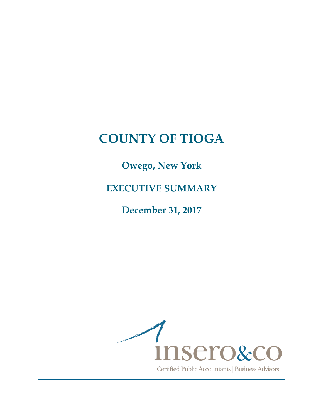**Owego, New York**

**EXECUTIVE SUMMARY**

**December 31, 2017**

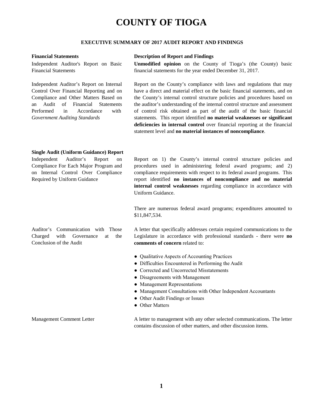#### **EXECUTIVE SUMMARY OF 2017 AUDIT REPORT AND FINDINGS**

Independent Auditor's Report on Basic Financial Statements

Independent Auditor's Report on Internal Control Over Financial Reporting and on Compliance and Other Matters Based on an Audit of Financial Statements Performed in Accordance with *Government Auditing Standards*

#### **Financial Statements Description of Report and Findings**

**Unmodified opinion** on the County of Tioga's (the County) basic financial statements for the year ended December 31, 2017.

Report on the County's compliance with laws and regulations that may have a direct and material effect on the basic financial statements, and on the County's internal control structure policies and procedures based on the auditor's understanding of the internal control structure and assessment of control risk obtained as part of the audit of the basic financial statements. This report identified **no material weaknesses or significant deficiencies in internal control** over financial reporting at the financial statement level and **no material instances of noncompliance**.

#### **Single Audit (Uniform Guidance) Report**

Independent Auditor's Report on Compliance For Each Major Program and on Internal Control Over Compliance Required by Uniform Guidance

Report on 1) the County's internal control structure policies and procedures used in administering federal award programs; and 2) compliance requirements with respect to its federal award programs. This report identified **no instances of noncompliance and no material internal control weaknesses** regarding compliance in accordance with Uniform Guidance.

There are numerous federal award programs; expenditures amounted to \$11,847,534.

Auditor's Communication with Those Charged with Governance at the Conclusion of the Audit

A letter that specifically addresses certain required communications to the Legislature in accordance with professional standards - there were **no comments of concern** related to:

- Qualitative Aspects of Accounting Practices
- Difficulties Encountered in Performing the Audit
- Corrected and Uncorrected Misstatements
- Disagreements with Management
- Management Representations
- Management Consultations with Other Independent Accountants
- Other Audit Findings or Issues
- Other Matters

Management Comment Letter A letter to management with any other selected communications. The letter contains discussion of other matters, and other discussion items.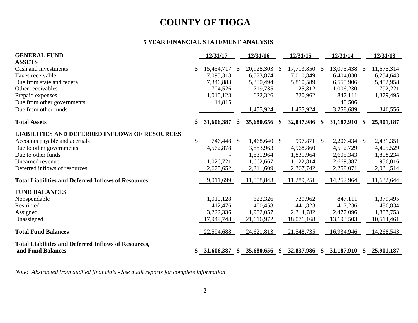### **5 YEAR FINANCIAL STATEMENT ANALYSIS**

| <b>GENERAL FUND</b>                                                              | 12/31/17         |               | 12/31/16     | 12/31/15         |               | 12/31/14                                                                                                     |               | 12/31/13     |
|----------------------------------------------------------------------------------|------------------|---------------|--------------|------------------|---------------|--------------------------------------------------------------------------------------------------------------|---------------|--------------|
| <b>ASSETS</b>                                                                    |                  |               |              |                  |               |                                                                                                              |               |              |
| Cash and investments                                                             | \$<br>15,434,717 | \$            | 20,928,303   | \$<br>17,713,850 | <sup>\$</sup> | 13,075,438                                                                                                   | <sup>\$</sup> | 11,675,314   |
| Taxes receivable                                                                 | 7,095,318        |               | 6,573,874    | 7,010,849        |               | 6,404,030                                                                                                    |               | 6,254,643    |
| Due from state and federal                                                       | 7,346,883        |               | 5,380,494    | 5,810,589        |               | 6,555,906                                                                                                    |               | 5,452,958    |
| Other receivables                                                                | 704,526          |               | 719,735      | 125,812          |               | 1,006,230                                                                                                    |               | 792,221      |
| Prepaid expenses                                                                 | 1,010,128        |               | 622,326      | 720,962          |               | 847,111                                                                                                      |               | 1,379,495    |
| Due from other governments                                                       | 14,815           |               |              |                  |               | 40,506                                                                                                       |               |              |
| Due from other funds                                                             |                  |               | 1,455,924    | 1,455,924        |               | 3,258,689                                                                                                    |               | 346,556      |
| <b>Total Assets</b>                                                              |                  |               |              |                  |               | $\underline{31,606,387}$ \$ $\underline{35,680,656}$ \$ $\underline{32,837,986}$ \$ $\underline{31,187,910}$ |               | \$25,901,187 |
| <b>LIABILITIES AND DEFERRED INFLOWS OF RESOURCES</b>                             |                  |               |              |                  |               |                                                                                                              |               |              |
| Accounts payable and accruals                                                    | \$<br>746,448    | $\mathcal{S}$ | 1,468,640 \$ | 997,871 \$       |               | 2,206,434 \$                                                                                                 |               | 2,431,351    |
| Due to other governments                                                         | 4,562,878        |               | 3,883,963    | 4,968,860        |               | 4,512,729                                                                                                    |               | 4,405,529    |
| Due to other funds                                                               |                  |               | 1,831,964    | 1,831,964        |               | 2,605,343                                                                                                    |               | 1,808,234    |
| Unearned revenue                                                                 | 1,026,721        |               | 1,662,667    | 1,122,814        |               | 2,669,387                                                                                                    |               | 956,016      |
| Deferred inflows of resources                                                    | 2,675,652        |               | 2,211,609    | 2,367,742        |               | 2,259,071                                                                                                    |               | 2,031,514    |
| <b>Total Liabilities and Deferred Inflows of Resources</b>                       | 9,011,699        |               | 11,058,843   | 11,289,251       |               | 14,252,964                                                                                                   |               | 11,632,644   |
| <b>FUND BALANCES</b>                                                             |                  |               |              |                  |               |                                                                                                              |               |              |
| Nonspendable                                                                     | 1,010,128        |               | 622,326      | 720,962          |               | 847,111                                                                                                      |               | 1,379,495    |
| Restricted                                                                       | 412,476          |               | 400,458      | 441,823          |               | 417,236                                                                                                      |               | 486,834      |
| Assigned                                                                         | 3,222,336        |               | 1,982,057    | 2,314,782        |               | 2,477,096                                                                                                    |               | 1,887,753    |
| Unassigned                                                                       | 17,949,748       |               | 21,616,972   | 18,071,168       |               | 13,193,503                                                                                                   |               | 10,514,461   |
| <b>Total Fund Balances</b>                                                       | 22,594,688       |               | 24,621,813   | 21,548,735       |               | 16,934,946                                                                                                   |               | 14,268,543   |
| <b>Total Liabilities and Deferred Inflows of Resources,</b><br>and Fund Balances | \$31,606,387     |               |              |                  |               | $$35,680,656$ $$32,837,986$ $$31,187,910$ $$25,901,187$                                                      |               |              |

*Note: Abstracted from audited financials - See audit reports for complete information*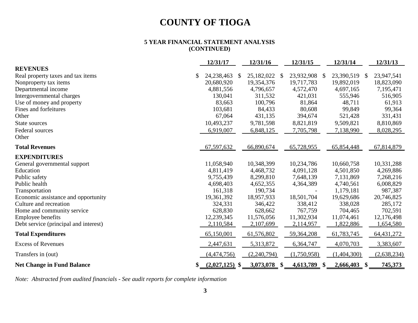#### **5 YEAR FINANCIAL STATEMENT ANALYSIS (CONTINUED)**

|                                       | 12/31/17               |              | 12/31/16    |               | 12/31/15    |              | 12/31/14       |              | 12/31/13     |
|---------------------------------------|------------------------|--------------|-------------|---------------|-------------|--------------|----------------|--------------|--------------|
| <b>REVENUES</b>                       |                        |              |             |               |             |              |                |              |              |
| Real property taxes and tax items     | \$<br>24,238,463       | <sup>S</sup> | 25,182,022  | \$            | 23,932,908  | <sup>S</sup> | 23,390,519     | <sup>S</sup> | 23,947,541   |
| Nonproperty tax items                 | 20,680,920             |              | 19,354,376  |               | 19,717,783  |              | 19,892,019     |              | 18,823,090   |
| Departmental income                   | 4,881,556              |              | 4,796,657   |               | 4,572,470   |              | 4,697,165      |              | 7,195,471    |
| Intergovernmental charges             | 130,041                |              | 311,532     |               | 421,031     |              | 555,946        |              | 516,905      |
| Use of money and property             | 83,663                 |              | 100,796     |               | 81,864      |              | 48,711         |              | 61,913       |
| Fines and forfeitures                 | 103,681                |              | 84,433      |               | 80,608      |              | 99,849         |              | 99,364       |
| Other                                 | 67,064                 |              | 431,135     |               | 394,674     |              | 521,428        |              | 331,431      |
| State sources                         | 10,493,237             |              | 9,781,598   |               | 8,821,819   |              | 9,509,821      |              | 8,810,869    |
| Federal sources                       | 6,919,007              |              | 6,848,125   |               | 7,705,798   |              | 7,138,990      |              | 8,028,295    |
| Other                                 |                        |              |             |               |             |              |                |              |              |
| <b>Total Revenues</b>                 | 67,597,632             |              | 66,890,674  |               | 65,728,955  |              | 65,854,448     |              | 67,814,879   |
| <b>EXPENDITURES</b>                   |                        |              |             |               |             |              |                |              |              |
| General governmental support          | 11,058,940             |              | 10,348,399  |               | 10,234,786  |              | 10,660,758     |              | 10,331,288   |
| Education                             | 4,811,419              |              | 4,468,732   |               | 4,091,128   |              | 4,501,850      |              | 4,269,886    |
| Public safety                         | 9,755,439              |              | 8,299,810   |               | 7,648,139   |              | 7,131,869      |              | 7,268,216    |
| Public health                         | 4,698,403              |              | 4,652,355   |               | 4,364,389   |              | 4,740,561      |              | 6,008,829    |
| Transportation                        | 161,318                |              | 190,734     |               |             |              | 1,179,181      |              | 987,387      |
| Economic assistance and opportunity   | 19,361,392             |              | 18,957,933  |               | 18,501,704  |              | 19,629,686     |              | 20,746,825   |
| Culture and recreation                | 324,331                |              | 346,422     |               | 338,412     |              | 338,028        |              | 285,172      |
| Home and community service            | 628,830                |              | 628,662     |               | 767,759     |              | 704,465        |              | 702,591      |
| <b>Employee benefits</b>              | 12,239,345             |              | 11,576,056  |               | 11,302,934  |              | 11,074,461     |              | 12,176,498   |
| Debt service (principal and interest) | 2,110,584              |              | 2,107,699   |               | 2,114,957   |              | 1,822,886      |              | 1,654,580    |
| <b>Total Expenditures</b>             | 65,150,001             |              | 61,576,802  |               | 59,364,208  |              | 61,783,745     |              | 64, 431, 272 |
| <b>Excess of Revenues</b>             | 2,447,631              |              | 5,313,872   |               | 6,364,747   |              | 4,070,703      |              | 3,383,607    |
| Transfers in (out)                    | (4, 474, 756)          |              | (2,240,794) |               | (1,750,958) |              | (1,404,300)    |              | (2,638,234)  |
| <b>Net Change in Fund Balance</b>     | \$<br>$(2,027,125)$ \$ |              | 3,073,078   | $\mathbf{\$}$ | 4,613,789   | -SS          | $2,666,403$ \$ |              | 745,373      |

*Note: Abstracted from audited financials - See audit reports for complete information*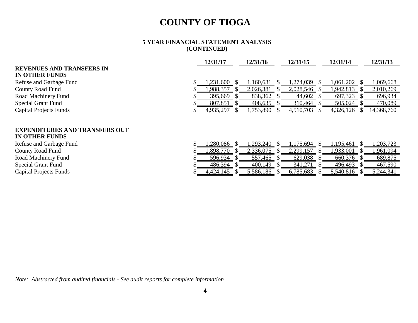#### **5 YEAR FINANCIAL STATEMENT ANALYSIS (CONTINUED)**

|                                       | 12/31/17  | 12/31/16  | 12/31/15  | 12/31/14  | 12/31/13   |
|---------------------------------------|-----------|-----------|-----------|-----------|------------|
| <b>REVENUES AND TRANSFERS IN</b>      |           |           |           |           |            |
| <b>IN OTHER FUNDS</b>                 |           |           |           |           |            |
| Refuse and Garbage Fund               | 1,231,600 | 1,160,631 | 1,274,039 | 1,061,202 | ,069,668   |
| <b>County Road Fund</b>               | ,988,357  | 2,026,381 | 2,028,546 | 1,942,813 | 2,010,269  |
| Road Machinery Fund                   | 395,669   | 838,362   | 44,602    | 697,323   | 696,934    |
| <b>Special Grant Fund</b>             | 807,851   | 408,635   | 310,464   | 505,024   | 470,089    |
| <b>Capital Projects Funds</b>         | 4,935,297 | 1,753,890 | 4,510,703 | 4,326,126 | 14,368,760 |
|                                       |           |           |           |           |            |
| <b>EXPENDITURES AND TRANSFERS OUT</b> |           |           |           |           |            |
| <b>IN OTHER FUNDS</b>                 |           |           |           |           |            |
| Refuse and Garbage Fund               | ,280,086  | ,293,240  | 1,175,694 | 1,195,461 | ,203,723   |
| <b>County Road Fund</b>               | ,898,770  | 2,336,075 | 2,299,157 | 1,933,001 | ,961,094   |
| Road Machinery Fund                   | 596,934   | 557,465   | 629,038   | 660,376   | 689,875    |
| <b>Special Grant Fund</b>             | 486,394   | 400,149   | 341,271   | 496,493   | 467,590    |
| <b>Capital Projects Funds</b>         | 4,424,145 | 5,586,186 | 6,785,683 | 8,540,816 | 5,244,341  |

*Note: Abstracted from audited financials - See audit reports for complete information*